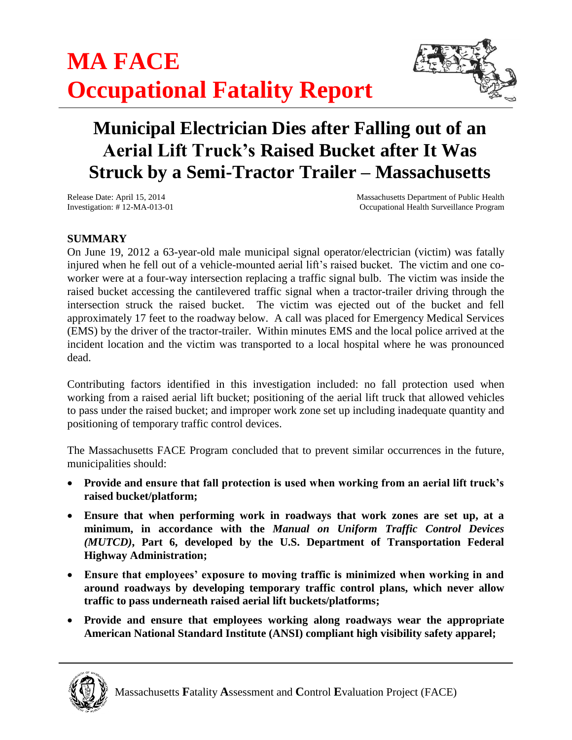

# **Municipal Electrician Dies after Falling out of an Aerial Lift Truck's Raised Bucket after It Was Struck by a Semi-Tractor Trailer – Massachusetts**

Release Date: April 15, 2014 Massachusetts Department of Public Health Investigation: # 12-MA-013-01 Occupational Health Surveillance Program

# **SUMMARY**

On June 19, 2012 a 63-year-old male municipal signal operator/electrician (victim) was fatally injured when he fell out of a vehicle-mounted aerial lift's raised bucket. The victim and one coworker were at a four-way intersection replacing a traffic signal bulb. The victim was inside the raised bucket accessing the cantilevered traffic signal when a tractor-trailer driving through the intersection struck the raised bucket. The victim was ejected out of the bucket and fell approximately 17 feet to the roadway below. A call was placed for Emergency Medical Services (EMS) by the driver of the tractor-trailer. Within minutes EMS and the local police arrived at the incident location and the victim was transported to a local hospital where he was pronounced dead.

Contributing factors identified in this investigation included: no fall protection used when working from a raised aerial lift bucket; positioning of the aerial lift truck that allowed vehicles to pass under the raised bucket; and improper work zone set up including inadequate quantity and positioning of temporary traffic control devices.

The Massachusetts FACE Program concluded that to prevent similar occurrences in the future, municipalities should:

- **Provide and ensure that fall protection is used when working from an aerial lift truck's raised bucket/platform;**
- **Ensure that when performing work in roadways that work zones are set up, at a minimum, in accordance with the** *Manual on Uniform Traffic Control Devices (MUTCD)***, Part 6, developed by the U.S. Department of Transportation Federal Highway Administration;**
- **Ensure that employees' exposure to moving traffic is minimized when working in and around roadways by developing temporary traffic control plans, which never allow traffic to pass underneath raised aerial lift buckets/platforms;**
- **Provide and ensure that employees working along roadways wear the appropriate American National Standard Institute (ANSI) compliant high visibility safety apparel;**

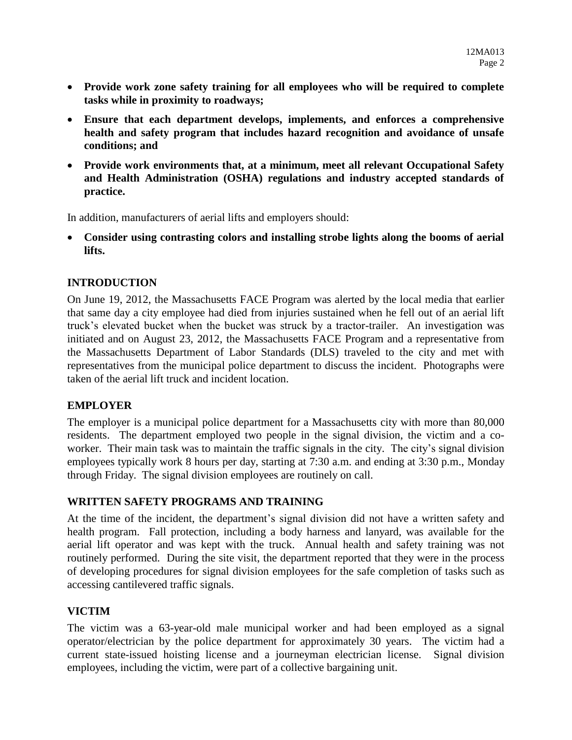- **Provide work zone safety training for all employees who will be required to complete tasks while in proximity to roadways;**
- **Ensure that each department develops, implements, and enforces a comprehensive health and safety program that includes hazard recognition and avoidance of unsafe conditions; and**
- **Provide work environments that, at a minimum, meet all relevant Occupational Safety and Health Administration (OSHA) regulations and industry accepted standards of practice.**

In addition, manufacturers of aerial lifts and employers should:

 **Consider using contrasting colors and installing strobe lights along the booms of aerial lifts.**

### **INTRODUCTION**

On June 19, 2012, the Massachusetts FACE Program was alerted by the local media that earlier that same day a city employee had died from injuries sustained when he fell out of an aerial lift truck's elevated bucket when the bucket was struck by a tractor-trailer. An investigation was initiated and on August 23, 2012, the Massachusetts FACE Program and a representative from the Massachusetts Department of Labor Standards (DLS) traveled to the city and met with representatives from the municipal police department to discuss the incident. Photographs were taken of the aerial lift truck and incident location.

#### **EMPLOYER**

The employer is a municipal police department for a Massachusetts city with more than 80,000 residents. The department employed two people in the signal division, the victim and a coworker. Their main task was to maintain the traffic signals in the city. The city's signal division employees typically work 8 hours per day, starting at 7:30 a.m. and ending at 3:30 p.m., Monday through Friday. The signal division employees are routinely on call.

#### **WRITTEN SAFETY PROGRAMS AND TRAINING**

At the time of the incident, the department's signal division did not have a written safety and health program. Fall protection, including a body harness and lanyard, was available for the aerial lift operator and was kept with the truck. Annual health and safety training was not routinely performed. During the site visit, the department reported that they were in the process of developing procedures for signal division employees for the safe completion of tasks such as accessing cantilevered traffic signals.

#### **VICTIM**

The victim was a 63-year-old male municipal worker and had been employed as a signal operator/electrician by the police department for approximately 30 years. The victim had a current state-issued hoisting license and a journeyman electrician license. Signal division employees, including the victim, were part of a collective bargaining unit.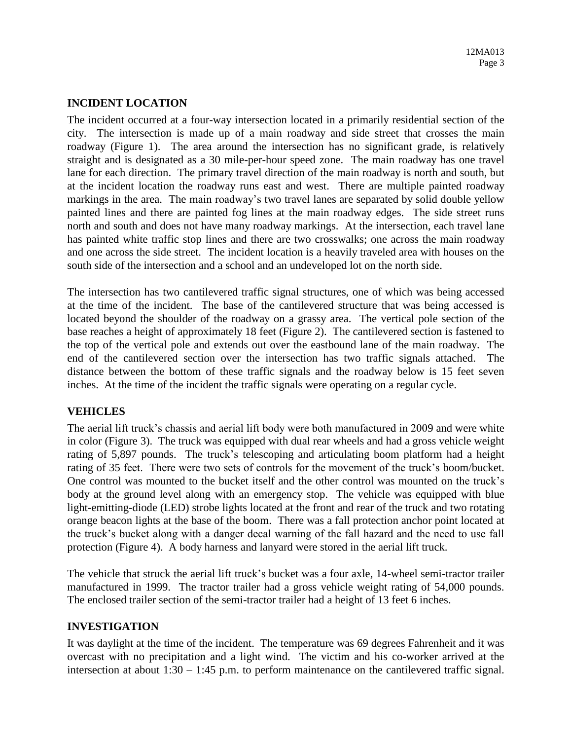#### **INCIDENT LOCATION**

The incident occurred at a four-way intersection located in a primarily residential section of the city. The intersection is made up of a main roadway and side street that crosses the main roadway (Figure 1). The area around the intersection has no significant grade, is relatively straight and is designated as a 30 mile-per-hour speed zone. The main roadway has one travel lane for each direction. The primary travel direction of the main roadway is north and south, but at the incident location the roadway runs east and west. There are multiple painted roadway markings in the area. The main roadway's two travel lanes are separated by solid double yellow painted lines and there are painted fog lines at the main roadway edges. The side street runs north and south and does not have many roadway markings. At the intersection, each travel lane has painted white traffic stop lines and there are two crosswalks; one across the main roadway and one across the side street. The incident location is a heavily traveled area with houses on the south side of the intersection and a school and an undeveloped lot on the north side.

The intersection has two cantilevered traffic signal structures, one of which was being accessed at the time of the incident. The base of the cantilevered structure that was being accessed is located beyond the shoulder of the roadway on a grassy area. The vertical pole section of the base reaches a height of approximately 18 feet (Figure 2). The cantilevered section is fastened to the top of the vertical pole and extends out over the eastbound lane of the main roadway. The end of the cantilevered section over the intersection has two traffic signals attached. The distance between the bottom of these traffic signals and the roadway below is 15 feet seven inches. At the time of the incident the traffic signals were operating on a regular cycle.

# **VEHICLES**

The aerial lift truck's chassis and aerial lift body were both manufactured in 2009 and were white in color (Figure 3). The truck was equipped with dual rear wheels and had a gross vehicle weight rating of 5,897 pounds. The truck's telescoping and articulating boom platform had a height rating of 35 feet. There were two sets of controls for the movement of the truck's boom/bucket. One control was mounted to the bucket itself and the other control was mounted on the truck's body at the ground level along with an emergency stop. The vehicle was equipped with blue light-emitting-diode (LED) strobe lights located at the front and rear of the truck and two rotating orange beacon lights at the base of the boom. There was a fall protection anchor point located at the truck's bucket along with a danger decal warning of the fall hazard and the need to use fall protection (Figure 4). A body harness and lanyard were stored in the aerial lift truck.

The vehicle that struck the aerial lift truck's bucket was a four axle, 14-wheel semi-tractor trailer manufactured in 1999. The tractor trailer had a gross vehicle weight rating of 54,000 pounds. The enclosed trailer section of the semi-tractor trailer had a height of 13 feet 6 inches.

#### **INVESTIGATION**

It was daylight at the time of the incident. The temperature was 69 degrees Fahrenheit and it was overcast with no precipitation and a light wind. The victim and his co-worker arrived at the intersection at about 1:30 – 1:45 p.m. to perform maintenance on the cantilevered traffic signal.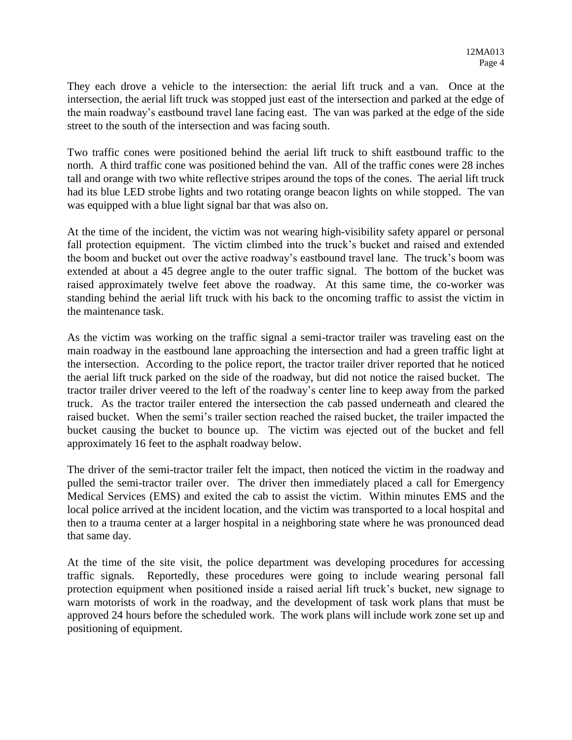They each drove a vehicle to the intersection: the aerial lift truck and a van. Once at the intersection, the aerial lift truck was stopped just east of the intersection and parked at the edge of the main roadway's eastbound travel lane facing east. The van was parked at the edge of the side street to the south of the intersection and was facing south.

Two traffic cones were positioned behind the aerial lift truck to shift eastbound traffic to the north. A third traffic cone was positioned behind the van. All of the traffic cones were 28 inches tall and orange with two white reflective stripes around the tops of the cones. The aerial lift truck had its blue LED strobe lights and two rotating orange beacon lights on while stopped. The van was equipped with a blue light signal bar that was also on.

At the time of the incident, the victim was not wearing high-visibility safety apparel or personal fall protection equipment. The victim climbed into the truck's bucket and raised and extended the boom and bucket out over the active roadway's eastbound travel lane. The truck's boom was extended at about a 45 degree angle to the outer traffic signal. The bottom of the bucket was raised approximately twelve feet above the roadway. At this same time, the co-worker was standing behind the aerial lift truck with his back to the oncoming traffic to assist the victim in the maintenance task.

As the victim was working on the traffic signal a semi-tractor trailer was traveling east on the main roadway in the eastbound lane approaching the intersection and had a green traffic light at the intersection. According to the police report, the tractor trailer driver reported that he noticed the aerial lift truck parked on the side of the roadway, but did not notice the raised bucket. The tractor trailer driver veered to the left of the roadway's center line to keep away from the parked truck. As the tractor trailer entered the intersection the cab passed underneath and cleared the raised bucket. When the semi's trailer section reached the raised bucket, the trailer impacted the bucket causing the bucket to bounce up. The victim was ejected out of the bucket and fell approximately 16 feet to the asphalt roadway below.

The driver of the semi-tractor trailer felt the impact, then noticed the victim in the roadway and pulled the semi-tractor trailer over. The driver then immediately placed a call for Emergency Medical Services (EMS) and exited the cab to assist the victim. Within minutes EMS and the local police arrived at the incident location, and the victim was transported to a local hospital and then to a trauma center at a larger hospital in a neighboring state where he was pronounced dead that same day.

At the time of the site visit, the police department was developing procedures for accessing traffic signals. Reportedly, these procedures were going to include wearing personal fall protection equipment when positioned inside a raised aerial lift truck's bucket, new signage to warn motorists of work in the roadway, and the development of task work plans that must be approved 24 hours before the scheduled work. The work plans will include work zone set up and positioning of equipment.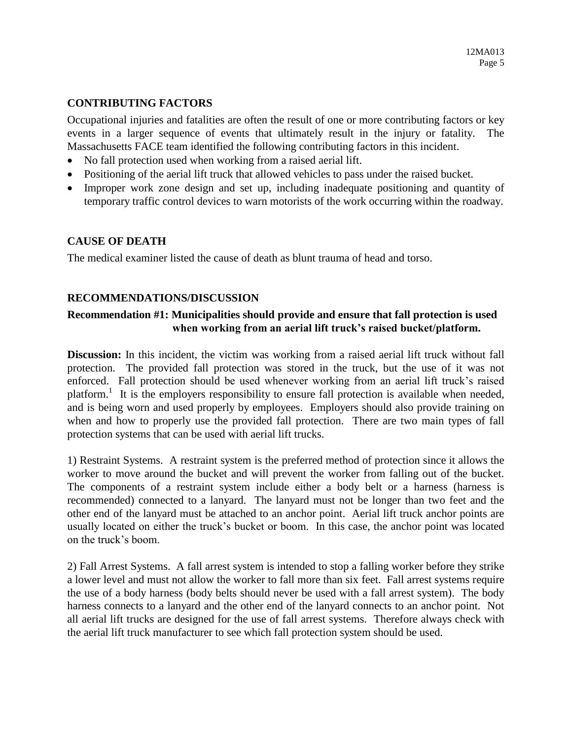## **CONTRIBUTING FACTORS**

Occupational injuries and fatalities are often the result of one or more contributing factors or key events in a larger sequence of events that ultimately result in the injury or fatality. The Massachusetts FACE team identified the following contributing factors in this incident.

- No fall protection used when working from a raised aerial lift.
- Positioning of the aerial lift truck that allowed vehicles to pass under the raised bucket.
- Improper work zone design and set up, including inadequate positioning and quantity of temporary traffic control devices to warn motorists of the work occurring within the roadway.

### **CAUSE OF DEATH**

The medical examiner listed the cause of death as blunt trauma of head and torso.

#### **RECOMMENDATIONS/DISCUSSION**

## **Recommendation #1: Municipalities should provide and ensure that fall protection is used when working from an aerial lift truck's raised bucket/platform.**

**Discussion:** In this incident, the victim was working from a raised aerial lift truck without fall protection. The provided fall protection was stored in the truck, but the use of it was not enforced. Fall protection should be used whenever working from an aerial lift truck's raised platform.<sup>1</sup> It is the employers responsibility to ensure fall protection is available when needed, and is being worn and used properly by employees. Employers should also provide training on when and how to properly use the provided fall protection. There are two main types of fall protection systems that can be used with aerial lift trucks.

1) Restraint Systems. A restraint system is the preferred method of protection since it allows the worker to move around the bucket and will prevent the worker from falling out of the bucket. The components of a restraint system include either a body belt or a harness (harness is recommended) connected to a lanyard. The lanyard must not be longer than two feet and the other end of the lanyard must be attached to an anchor point. Aerial lift truck anchor points are usually located on either the truck's bucket or boom. In this case, the anchor point was located on the truck's boom.

2) Fall Arrest Systems. A fall arrest system is intended to stop a falling worker before they strike a lower level and must not allow the worker to fall more than six feet. Fall arrest systems require the use of a body harness (body belts should never be used with a fall arrest system). The body harness connects to a lanyard and the other end of the lanyard connects to an anchor point. Not all aerial lift trucks are designed for the use of fall arrest systems. Therefore always check with the aerial lift truck manufacturer to see which fall protection system should be used.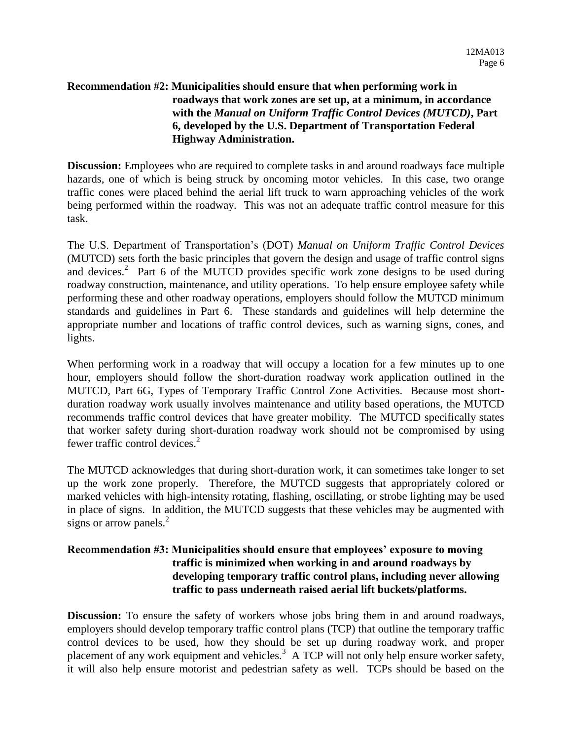# **Recommendation #2: Municipalities should ensure that when performing work in roadways that work zones are set up, at a minimum, in accordance with the** *Manual on Uniform Traffic Control Devices (MUTCD)***, Part 6, developed by the U.S. Department of Transportation Federal Highway Administration.**

**Discussion:** Employees who are required to complete tasks in and around roadways face multiple hazards, one of which is being struck by oncoming motor vehicles. In this case, two orange traffic cones were placed behind the aerial lift truck to warn approaching vehicles of the work being performed within the roadway. This was not an adequate traffic control measure for this task.

The U.S. Department of Transportation's (DOT) *Manual on Uniform Traffic Control Devices*  (MUTCD) sets forth the basic principles that govern the design and usage of traffic control signs and devices.<sup>2</sup> Part 6 of the MUTCD provides specific work zone designs to be used during roadway construction, maintenance, and utility operations. To help ensure employee safety while performing these and other roadway operations, employers should follow the MUTCD minimum standards and guidelines in Part 6. These standards and guidelines will help determine the appropriate number and locations of traffic control devices, such as warning signs, cones, and lights.

When performing work in a roadway that will occupy a location for a few minutes up to one hour, employers should follow the short-duration roadway work application outlined in the MUTCD, Part 6G, Types of Temporary Traffic Control Zone Activities. Because most shortduration roadway work usually involves maintenance and utility based operations, the MUTCD recommends traffic control devices that have greater mobility. The MUTCD specifically states that worker safety during short-duration roadway work should not be compromised by using fewer traffic control devices.<sup>2</sup>

The MUTCD acknowledges that during short-duration work, it can sometimes take longer to set up the work zone properly. Therefore, the MUTCD suggests that appropriately colored or marked vehicles with high-intensity rotating, flashing, oscillating, or strobe lighting may be used in place of signs. In addition, the MUTCD suggests that these vehicles may be augmented with signs or arrow panels.<sup>2</sup>

# **Recommendation #3: Municipalities should ensure that employees' exposure to moving traffic is minimized when working in and around roadways by developing temporary traffic control plans, including never allowing traffic to pass underneath raised aerial lift buckets/platforms.**

**Discussion:** To ensure the safety of workers whose jobs bring them in and around roadways, employers should develop temporary traffic control plans (TCP) that outline the temporary traffic control devices to be used, how they should be set up during roadway work, and proper placement of any work equipment and vehicles.<sup>3</sup> A TCP will not only help ensure worker safety, it will also help ensure motorist and pedestrian safety as well. TCPs should be based on the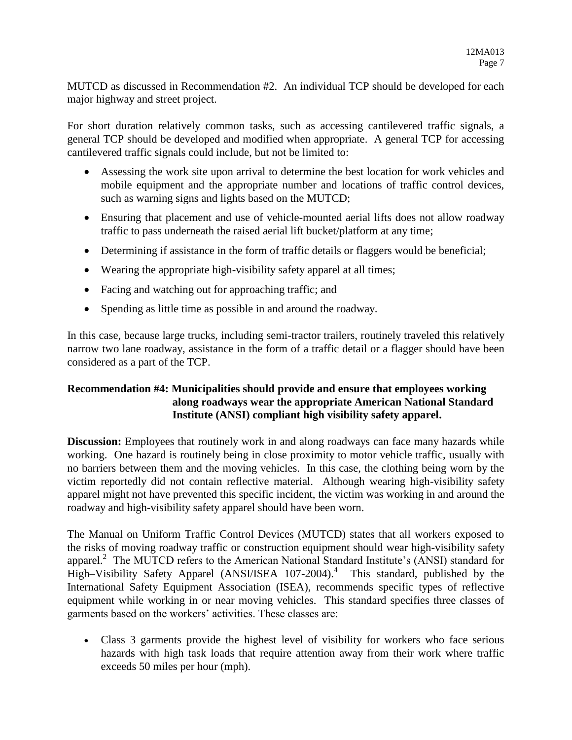MUTCD as discussed in Recommendation #2. An individual TCP should be developed for each major highway and street project.

For short duration relatively common tasks, such as accessing cantilevered traffic signals, a general TCP should be developed and modified when appropriate. A general TCP for accessing cantilevered traffic signals could include, but not be limited to:

- Assessing the work site upon arrival to determine the best location for work vehicles and mobile equipment and the appropriate number and locations of traffic control devices, such as warning signs and lights based on the MUTCD;
- Ensuring that placement and use of vehicle-mounted aerial lifts does not allow roadway traffic to pass underneath the raised aerial lift bucket/platform at any time;
- Determining if assistance in the form of traffic details or flaggers would be beneficial;
- Wearing the appropriate high-visibility safety apparel at all times;
- Facing and watching out for approaching traffic; and
- Spending as little time as possible in and around the roadway.

In this case, because large trucks, including semi-tractor trailers, routinely traveled this relatively narrow two lane roadway, assistance in the form of a traffic detail or a flagger should have been considered as a part of the TCP.

# **Recommendation #4: Municipalities should provide and ensure that employees working along roadways wear the appropriate American National Standard Institute (ANSI) compliant high visibility safety apparel.**

**Discussion:** Employees that routinely work in and along roadways can face many hazards while working. One hazard is routinely being in close proximity to motor vehicle traffic, usually with no barriers between them and the moving vehicles. In this case, the clothing being worn by the victim reportedly did not contain reflective material. Although wearing high-visibility safety apparel might not have prevented this specific incident, the victim was working in and around the roadway and high-visibility safety apparel should have been worn.

The Manual on Uniform Traffic Control Devices (MUTCD) states that all workers exposed to the risks of moving roadway traffic or construction equipment should wear high-visibility safety apparel.<sup>2</sup> The MUTCD refers to the American National Standard Institute's (ANSI) standard for High–Visibility Safety Apparel (ANSI/ISEA 107-2004).<sup>4</sup> This standard, published by the International Safety Equipment Association (ISEA), recommends specific types of reflective equipment while working in or near moving vehicles. This standard specifies three classes of garments based on the workers' activities. These classes are:

 Class 3 garments provide the highest level of visibility for workers who face serious hazards with high task loads that require attention away from their work where traffic exceeds 50 miles per hour (mph).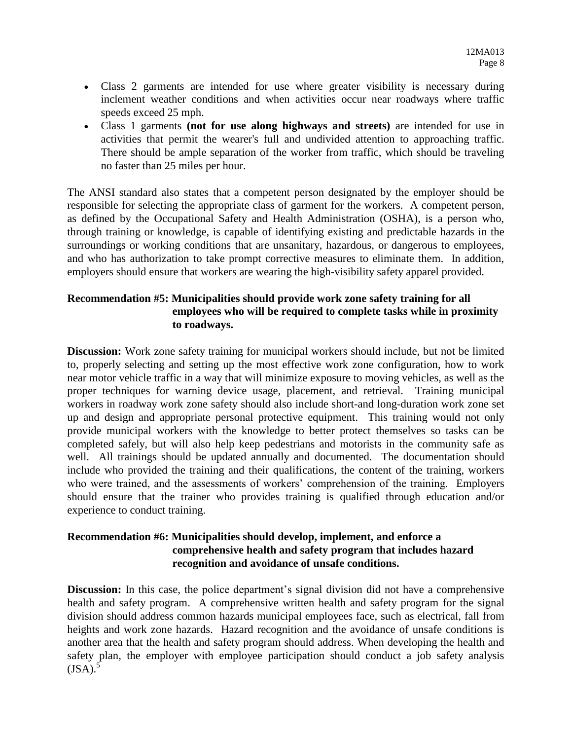- Class 2 garments are intended for use where greater visibility is necessary during inclement weather conditions and when activities occur near roadways where traffic speeds exceed 25 mph.
- Class 1 garments **(not for use along highways and streets)** are intended for use in activities that permit the wearer's full and undivided attention to approaching traffic. There should be ample separation of the worker from traffic, which should be traveling no faster than 25 miles per hour.

The ANSI standard also states that a competent person designated by the employer should be responsible for selecting the appropriate class of garment for the workers. A competent person, as defined by the Occupational Safety and Health Administration (OSHA), is a person who, through training or knowledge, is capable of identifying existing and predictable hazards in the surroundings or working conditions that are unsanitary, hazardous, or dangerous to employees, and who has authorization to take prompt corrective measures to eliminate them. In addition, employers should ensure that workers are wearing the high-visibility safety apparel provided.

# **Recommendation #5: Municipalities should provide work zone safety training for all employees who will be required to complete tasks while in proximity to roadways.**

**Discussion:** Work zone safety training for municipal workers should include, but not be limited to, properly selecting and setting up the most effective work zone configuration, how to work near motor vehicle traffic in a way that will minimize exposure to moving vehicles, as well as the proper techniques for warning device usage, placement, and retrieval. Training municipal workers in roadway work zone safety should also include short-and long-duration work zone set up and design and appropriate personal protective equipment. This training would not only provide municipal workers with the knowledge to better protect themselves so tasks can be completed safely, but will also help keep pedestrians and motorists in the community safe as well. All trainings should be updated annually and documented. The documentation should include who provided the training and their qualifications, the content of the training, workers who were trained, and the assessments of workers' comprehension of the training. Employers should ensure that the trainer who provides training is qualified through education and/or experience to conduct training.

## **Recommendation #6: Municipalities should develop, implement, and enforce a comprehensive health and safety program that includes hazard recognition and avoidance of unsafe conditions.**

**Discussion:** In this case, the police department's signal division did not have a comprehensive health and safety program. A comprehensive written health and safety program for the signal division should address common hazards municipal employees face, such as electrical, fall from heights and work zone hazards. Hazard recognition and the avoidance of unsafe conditions is another area that the health and safety program should address. When developing the health and safety plan, the employer with employee participation should conduct a job safety analysis  $(ISA).$ <sup>5</sup>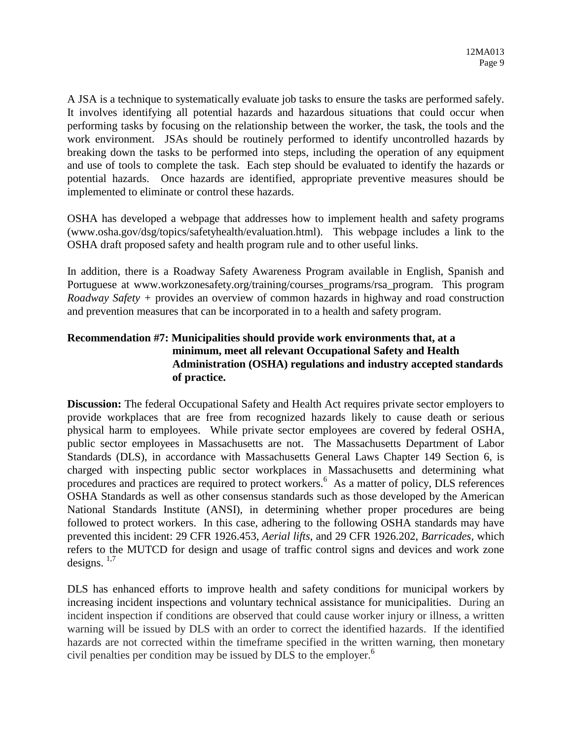A JSA is a technique to systematically evaluate job tasks to ensure the tasks are performed safely. It involves identifying all potential hazards and hazardous situations that could occur when performing tasks by focusing on the relationship between the worker, the task, the tools and the work environment. JSAs should be routinely performed to identify uncontrolled hazards by breaking down the tasks to be performed into steps, including the operation of any equipment and use of tools to complete the task. Each step should be evaluated to identify the hazards or potential hazards. Once hazards are identified, appropriate preventive measures should be implemented to eliminate or control these hazards.

OSHA has developed a webpage that addresses how to implement health and safety programs (www.osha.gov/dsg/topics/safetyhealth/evaluation.html). This webpage includes a link to the OSHA draft proposed safety and health program rule and to other useful links.

In addition, there is a Roadway Safety Awareness Program available in English, Spanish and Portuguese at www.workzonesafety.org/training/courses\_programs/rsa\_program. This program *Roadway Safety +* provides an overview of common hazards in highway and road construction and prevention measures that can be incorporated in to a health and safety program.

# **Recommendation #7: Municipalities should provide work environments that, at a minimum, meet all relevant Occupational Safety and Health Administration (OSHA) regulations and industry accepted standards of practice.**

**Discussion:** The federal Occupational Safety and Health Act requires private sector employers to provide workplaces that are free from recognized hazards likely to cause death or serious physical harm to employees. While private sector employees are covered by federal OSHA, public sector employees in Massachusetts are not. The Massachusetts Department of Labor Standards (DLS), in accordance with Massachusetts General Laws Chapter 149 Section 6, is charged with inspecting public sector workplaces in Massachusetts and determining what procedures and practices are required to protect workers.<sup>6</sup> As a matter of policy, DLS references OSHA Standards as well as other consensus standards such as those developed by the American National Standards Institute (ANSI), in determining whether proper procedures are being followed to protect workers. In this case, adhering to the following OSHA standards may have prevented this incident: 29 CFR 1926.453, *Aerial lifts*, and 29 CFR 1926.202, *Barricades*, which refers to the MUTCD for design and usage of traffic control signs and devices and work zone designs.  $1,7$ 

DLS has enhanced efforts to improve health and safety conditions for municipal workers by increasing incident inspections and voluntary technical assistance for municipalities. During an incident inspection if conditions are observed that could cause worker injury or illness, a written warning will be issued by DLS with an order to correct the identified hazards. If the identified hazards are not corrected within the timeframe specified in the written warning, then monetary civil penalties per condition may be issued by DLS to the employer. 6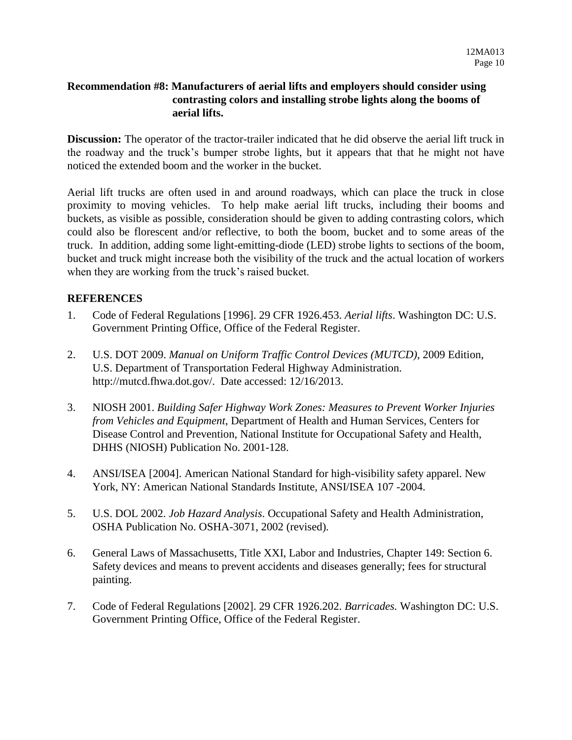#### **Recommendation #8: Manufacturers of aerial lifts and employers should consider using contrasting colors and installing strobe lights along the booms of aerial lifts.**

**Discussion:** The operator of the tractor-trailer indicated that he did observe the aerial lift truck in the roadway and the truck's bumper strobe lights, but it appears that that he might not have noticed the extended boom and the worker in the bucket.

Aerial lift trucks are often used in and around roadways, which can place the truck in close proximity to moving vehicles. To help make aerial lift trucks, including their booms and buckets, as visible as possible, consideration should be given to adding contrasting colors, which could also be florescent and/or reflective, to both the boom, bucket and to some areas of the truck. In addition, adding some light-emitting-diode (LED) strobe lights to sections of the boom, bucket and truck might increase both the visibility of the truck and the actual location of workers when they are working from the truck's raised bucket.

### **REFERENCES**

- 1. Code of Federal Regulations [1996]. 29 CFR 1926.453. *Aerial lifts*. Washington DC: U.S. Government Printing Office, Office of the Federal Register.
- 2. U.S. DOT 2009. *Manual on Uniform Traffic Control Devices (MUTCD)*, 2009 Edition, U.S. Department of Transportation Federal Highway Administration. http://mutcd.fhwa.dot.gov/. Date accessed: 12/16/2013.
- 3. NIOSH 2001. *Building Safer Highway Work Zones: Measures to Prevent Worker Injuries from Vehicles and Equipment*, Department of Health and Human Services, Centers for Disease Control and Prevention, National Institute for Occupational Safety and Health, DHHS (NIOSH) Publication No. 2001-128.
- 4. ANSI/ISEA [2004]. American National Standard for high-visibility safety apparel. New York, NY: American National Standards Institute, ANSI/ISEA 107 -2004.
- 5. U.S. DOL 2002. *Job Hazard Analysis*. Occupational Safety and Health Administration, OSHA Publication No. OSHA-3071, 2002 (revised).
- 6. General Laws of Massachusetts, Title XXI, Labor and Industries, Chapter 149: Section 6. Safety devices and means to prevent accidents and diseases generally; fees for structural painting.
- 7. Code of Federal Regulations [2002]. 29 CFR 1926.202. *Barricades.* Washington DC: U.S. Government Printing Office, Office of the Federal Register.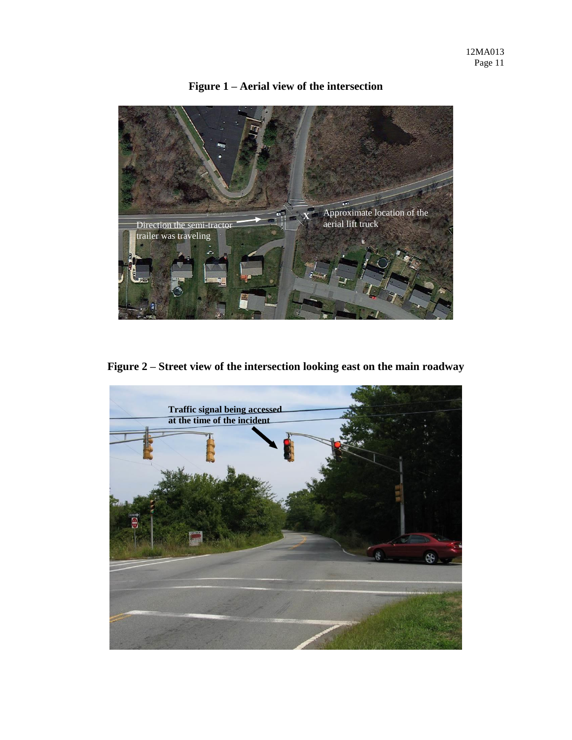

**Figure 1 – Aerial view of the intersection** 

**Figure 2 – Street view of the intersection looking east on the main roadway** 

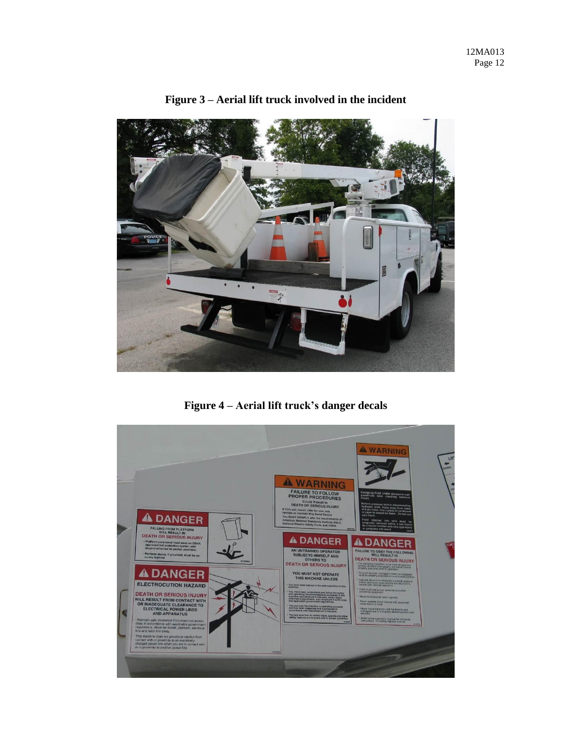

# **Figure 3 – Aerial lift truck involved in the incident**

**Figure 4 – Aerial lift truck's danger decals**